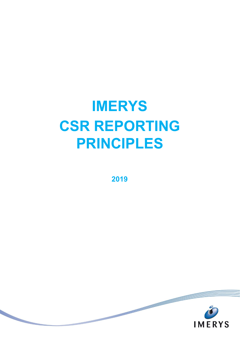# **IMERYS CSR REPORTING PRINCIPLES**

**2019**

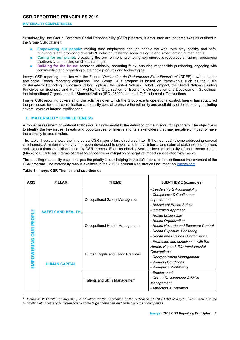## **MATERIALITY COMPLETENESS**

SustainAgility, the Group Corporate Social Responsibility (CSR) program, is articulated around three axes as outlined in the Group CSR Charter:

- **Empowering our people:** making sure employees and the people we work with stay healthy and safe, nurturing talent, promoting diversity & inclusion, fostering social dialogue and safeguarding human rights;
- **Caring for our planet**: protecting the environment, promoting non-energetic resources efficiency, preserving biodiversity, and acting on climate change;
- **Building for the future**: behaving ethically, operating fairly, ensuring responsible purchasing, engaging with communities and promoting sustainable products and technologies.

Imerys CSR reporting complies with the French "Déclaration de Performance Extra-Financière" (DPEF) Law<sup>1</sup> and other applicable French reporting obligations. The Group CSR program is based on frameworks such as the GRI's Sustainability Reporting Guidelines ("Core" option), the United Nations Global Compact, the United Nations Guiding Principles on Business and Human Rights, the Organization for Economic Co-operation and Development Guidelines, the International Organization for Standardization (ISO) 26000 and the ILO Fundamental Conventions.

Imerys CSR reporting covers all of the activities over which the Group exerts operational control. Imerys has structured the processes for data consolidation and quality control to ensure the reliability and auditability of the reporting, including several layers of internal verifications.

# **1. MATERIALITY COMPLETENESS**

A robust assessment of material CSR risks is fundamental to the definition of the Imerys CSR program. The objective is to identify the key issues, threats and opportunities for Imerys and its stakeholders that may negatively impact or have the capacity to create value.

The table 1 below shows the Imerys six CSR major pillars structured into 16 themes; each theme addressing several sub-themes. A materiality survey has been developed to understand Imerys internal and external stakeholders' opinions and expectations regarding these 16 CSR themes. Each feedback gives the level of criticality of each theme from 1 (Minor) to 6 (Critical) in terms of creation of positive or mitigation of negative impacts associated with Imerys.

The resulting materiality map emerges the priority issues helping in the definition and the continuous improvement of the CSR program. The materiality map is available in the 2019 Universal Registration Document on [Imerys.com.](https://www.imerys.com/sites/imerys.com/files/2020/03/30/IMERYS_URD%202019_Final_2.pdf)

| <b>AXIS</b>                     | <b>PILLAR</b>            | <b>THEME</b>                     | <b>SUB-THEME (examples)</b>                                                                                                                                           |
|---------------------------------|--------------------------|----------------------------------|-----------------------------------------------------------------------------------------------------------------------------------------------------------------------|
| <b>OUR PEOPLE</b><br>EMPOWERING | <b>SAFETY AND HEALTH</b> | Occupational Safety Management   | - Leadership & Accountability<br>- Compliance & Continuous<br>Improvement<br>- Behavioral-Based Safety<br>- Integrated Approach                                       |
|                                 |                          | Occupational Health Management   | - Health Leadership<br>- Health Organization<br>- Health Hazards and Exposure Control<br>- Health Exposure Monitoring<br>- Health and Business Performance            |
|                                 | <b>HUMAN CAPITAL</b>     | Human Rights and Labor Practices | - Promotion and compliance with the<br>Human Rights & ILO Fundamental<br>Conventions<br>- Reorganization Management<br>- Working Conditions<br>- Workplace Well-being |
|                                 |                          | Talents and Skills Management    | - Employment<br>- Career Development & Skills<br>Management<br>- Attraction & Retention                                                                               |

**Table 1: Imerys CSR Themes and sub-themes**

Decree n° 2017-1265 of August 9, 2017 taken for the application of the ordinance n° 2017-1180 of July 19, 2017 relating to the *publication of non-financial information by some large companies and certain groups of companies*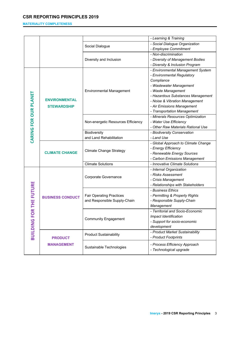# **MATERIALITY COMPLETENESS**

|                       |                                            |                                    | - Learning & Training               |
|-----------------------|--------------------------------------------|------------------------------------|-------------------------------------|
|                       |                                            |                                    | - Social Dialogue Organization      |
|                       |                                            | Social Dialogue                    | - Employee Commitment               |
|                       |                                            |                                    | - Non-discrimination                |
|                       |                                            |                                    | - Diversity of Management Bodies    |
|                       |                                            | Diversity and Inclusion            | - Diversity & Inclusion Program     |
|                       |                                            |                                    |                                     |
|                       | <b>ENVIRONMENTAL</b><br><b>STEWARDSHIP</b> | <b>Environmental Management</b>    | - Environmental Management System   |
|                       |                                            |                                    | - Environmental Regulatory          |
|                       |                                            |                                    | Compliance                          |
|                       |                                            |                                    | - Wastewater Management             |
|                       |                                            |                                    | - Waste Management                  |
|                       |                                            |                                    | - Hazardous Substances Management   |
|                       |                                            |                                    | - Noise & Vibration Management      |
|                       |                                            |                                    | - Air Emissions Management          |
| CARING FOR OUR PLANET |                                            |                                    | - Transportation Management         |
|                       |                                            |                                    | - Minerals Resources Optimization   |
|                       |                                            | Non-energetic Resources Efficiency | - Water Use Efficiency              |
|                       |                                            |                                    | - Other Raw Materials Rational Use  |
|                       |                                            | Biodiversity                       | - Biodiversity Conservation         |
|                       |                                            | and Land Rehabilitation            | - Land Use                          |
|                       | <b>CLIMATE CHANGE</b>                      | <b>Climate Change Strategy</b>     | - Global Approach to Climate Change |
|                       |                                            |                                    | - Energy Efficiency                 |
|                       |                                            |                                    | - Renewable Energy Sources          |
|                       |                                            |                                    | - Carbon Emissions Management       |
|                       |                                            | <b>Climate Solutions</b>           | - Innovative Climate Solutions      |
|                       | <b>BUSINESS CONDUCT</b>                    | Corporate Governance               | - Internal Organization             |
|                       |                                            |                                    | - Risks Assessment                  |
|                       |                                            |                                    | - Crisis Management                 |
| OR THE FUTURE         |                                            |                                    | - Relationships with Stakeholders   |
|                       |                                            | <b>Fair Operating Practices</b>    | - Business Ethics                   |
|                       |                                            |                                    | - Permitting & Property Rights      |
|                       |                                            | and Responsible Supply-Chain       | - Responsible Supply-Chain          |
|                       |                                            |                                    | Management                          |
|                       |                                            | <b>Community Engagement</b>        | - Territorial and Socio-Economic    |
| ╙                     |                                            |                                    | Impact Identification               |
| <b>BUILDING</b>       |                                            |                                    | - Support for socio-economic        |
|                       |                                            |                                    | development                         |
|                       | <b>PRODUCT</b><br><b>MANAGEMENT</b>        |                                    | - Product Market Sustainability     |
|                       |                                            | <b>Product Sustainability</b>      | - Product Footprints                |
|                       |                                            | Sustainable Technologies           | - Process Efficiency Approach       |
|                       |                                            |                                    |                                     |
|                       |                                            |                                    | - Technological upgrade             |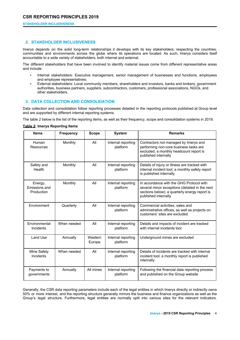#### **STAKEHOLDER INCLUSIVENESS**

## **2. STAKEHOLDER INCLUSIVENESS**

Imerys depends on the solid long-term relationships it develops with its key stakeholders; respecting the countries, communities and environments across the globe where its operations are located. As such, Imerys considers itself accountable to a wide variety of stakeholders, both internal and external.

The different stakeholders that have been involved to identify material issues come from different representative areas and include:

- Internal stakeholders: Executive management, senior management of businesses and functions, employees and employee representatives;
- External stakeholders: Local community members, shareholders and investors, banks and brokers, government authorities, business partners, suppliers, subcontractors, customers, professional associations, NGOs, and other stakeholders.

## **3. DATA COLLECTION AND CONSOLIDATION**

Data collection and consolidation follow reporting processes detailed in the reporting protocols published at Group level and are supported by different internal reporting systems.

The table 2 below is the list of the reporting items, as well as their frequency, scope and consolidation systems in 2019.

### **Table 2: Imerys Reporting Items**

| <b>Items</b>                           | <b>Frequency</b> | <b>Scope</b>      | <b>System</b>                  | <b>Remarks</b>                                                                                                                                                      |
|----------------------------------------|------------------|-------------------|--------------------------------|---------------------------------------------------------------------------------------------------------------------------------------------------------------------|
| Human<br>Resources                     | Monthly          | All               | Internal reporting<br>platform | Contractors not managed by Imerys and<br>performing non-core business tasks are<br>excluded; a monthly headcount report is<br>published internally                  |
| Safety and<br>Health                   | Monthly          | All               | Internal reporting<br>platform | Details of injury or illness are tracked with<br>internal incident tool; a monthly safety report<br>is published internally                                         |
| Energy,<br>Emissions and<br>Production | Monthly          | All               | Internal reporting<br>platform | In accordance with the GHG Protocol with<br>several minor exceptions (detailed in the next<br>sections below); a quarterly energy report is<br>published internally |
| Environment                            | Quarterly        | All               | Internal reporting<br>platform | Commercial activities, sales and<br>administrative offices, as well as projects on<br>customers' sites are excluded                                                 |
| Environmental<br>Incidents             | When needed      | All               | Internal reporting<br>platform | Details and impacts of incident are tracked<br>with internal incidents tool                                                                                         |
| Land Use                               | Annually         | Western<br>Europe | Internal reporting<br>platform | Underground mines are excluded                                                                                                                                      |
| Mine Safety<br>Incidents               | When needed      | All               | Internal reporting<br>platform | Details of incidents are tracked with internal<br>incident tool; a monthly report is published<br>internally                                                        |
| Payments to<br>governments             | Annually         | All mines         | Internal reporting<br>platform | Following the financial data reporting process<br>and published on the Group website                                                                                |

Generally, the CSR data reporting parameters include each of the legal entities in which Imerys directly or indirectly owns 50% or more interest, and the reporting structure generally mirrors the business and finance organizations as well as the Group's legal structure. Furthermore, legal entities are normally split into various sites for the relevant indicators.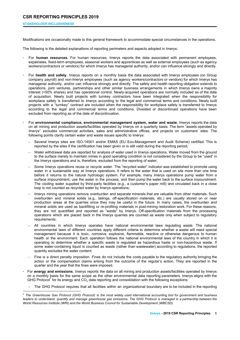## **STAKEHOLDER INCLUSIVENESS**

Modifications are occasionally made to this general framework to accommodate special circumstances in the operations.

The following is the detailed explanations of reporting perimeters and aspects adopted in Imerys:

- For **human resources**, For human resources, Imerys reports the data associated with permanent employees, expatriates, fixed-term employees, seasonal workers and apprentices as well as external employees (such as agency workers/contractors or vendors) for which Imerys has managerial authority, and/or can influence strongly and directly.
- For **health and safety**, Imerys reports on a monthly basis the data associated with Imerys employees (on Group company payroll) and non-Imerys employees (such as agency workers/contractors or vendors) for which Imerys has managerial authority, and/or can influence strongly and directly. The safety and health reporting obligation extends to operations, joint ventures, partnerships and other similar business arrangements in which Imerys owns a majority interest (>50% shares) and has operational control. Newly-acquired operations are normally included as of the date of acquisition. Newly built projects with turnkey contractors have been integrated when the responsibility for workplace safety is transferred to Imerys according to the legal and commercial terms and conditions. Newly built projects with a "turnkey" contract are included when the responsibility for workplace safety is transferred to Imerys according to the legal and commercial terms and conditions. Divested or discontinued operations have been excluded from reporting as of the date of discontinuation.
- For **environmental compliance, environmental management system, water and waste**, Imerys reports the data on all mining and production assets/facilities operated by Imerys on a quarterly basis. The term "assets operated by Imerys" excludes commercial activities, sales and administrative offices, and projects on customers' sites. The following points clarify certain water and waste issues specific to Imerys:
	- Several Imerys sites are ISO-14001 and/or EMAS (EU Eco-Management and Audit Scheme) certified. This is reported by the sites if the certification has been given or is still valid during the reporting period;
	- Water withdrawal data are reported for analysis of water used in Imerys operations. Water moved from the ground to the surface merely to maintain mines in good operating condition is not considered by the Group to be "used" in the Imerys operations and is, therefore, excluded from the reporting of water;
	- Some Imerys operations reuse or recycle water. The "recycled water" indicator was established to promote using water in a sustainable way at Imerys operations. It refers to the water that is used on site more than one time before it returns to the natural hydrologic system. For example, many Imerys operations pump water from a surface impoundment, use the water in the process, and then pump the water back to the surface impoundment. The cooling water supplied by third-party facilities (e.g., a customer's paper mill) and circulated back in a close loop is not counted as recycled water by Imerys operations;
	- Imerys mining operations remove overburden and separate minerals that are valuable from other materials. Such overburden and mineral solids (e.g., tailings, off-specification materials, etc.) are usually stored on or near production areas at the quarries since they may be useful in the future. In many cases, the overburden and mineral solids are used as backfilling or re-profiling materials in post-mining restoration work. For these reasons, they are not quantified and reported as "waste" by Imerys. Off-specification materials from the processing operations which are placed back in the Imerys quarries are counted as waste only when subject to regulatory requirements;
	- All countries in which Imerys operates have national environmental laws regulating waste. The national environmental laws of different countries apply different criteria to determine whether a waste will need special management because it is toxic, corrosive, explosive, flammable, reactive or otherwise dangerous to human health or the environment. Each operation follows the national environmental laws of the country in which it is operating to determine whether a specific waste is regulated as hazardous haste or non-hazardous waste. If some water-containing liquid is counted as waste (rather than wastewater) according to regulations, the reported quantity excludes the water content;
	- Fine is a direct penalty imposition. Fines do not include the costs payable to the regulatory authority bringing the action or the compensation claims arising from the outcome of the regular's action. They are reported in the quarter and the year that the fines were imposed.
- For **energy and emissions**, Imerys reports the data on all mining and production assets/facilities operated by Imerys on a monthly basis for the same scope as the other environmental data reporting parameters. Imerys aligns with the GHG Protocol<sup>2</sup> for its energy and  $CO<sub>2</sub>$  data reporting and consolidation with the following exceptions:
	- The GHG Protocol requires that all facilities within an organizational boundary are to be included in the reporting

<sup>&</sup>lt;sup>2</sup> The Greenhouse Gas Protocol (GHG Protocol) is the most widely used international accounting tool for government and business leaders to understand, quantify and manage greenhouse gas emissions. The GHG Protocol is managed in a partnership between the *World Resources Institute (WRI) and the World Business Council for Sustainable Development (WBCSD).*